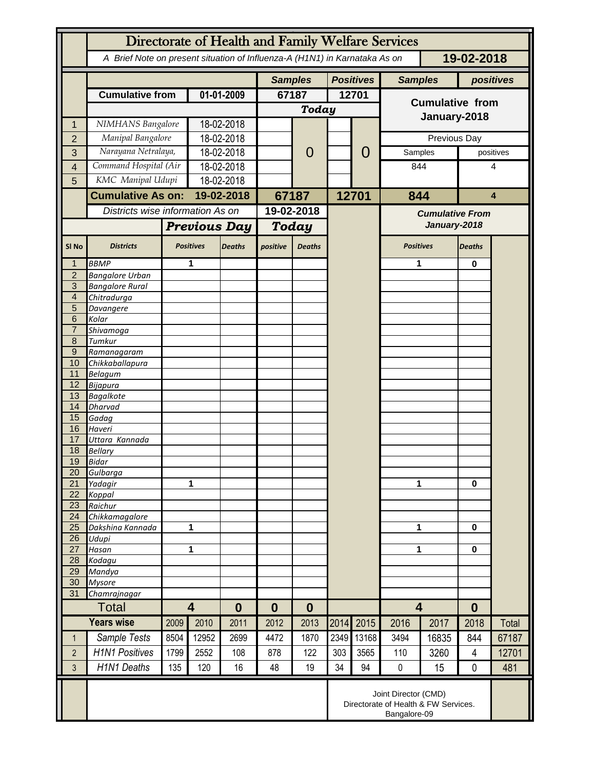|                     | Directorate of Health and Family Welfare Services                                        |      |                                     |               |                      |                |       |                  |                         |              |                |           |
|---------------------|------------------------------------------------------------------------------------------|------|-------------------------------------|---------------|----------------------|----------------|-------|------------------|-------------------------|--------------|----------------|-----------|
|                     | A Brief Note on present situation of Influenza-A (H1N1) in Karnataka As on<br>19-02-2018 |      |                                     |               |                      |                |       |                  |                         |              |                |           |
|                     |                                                                                          |      |                                     |               |                      | <b>Samples</b> |       | <b>Positives</b> | <b>Samples</b>          |              |                | positives |
|                     | <b>Cumulative from</b>                                                                   |      | 01-01-2009                          |               | 67187                |                | 12701 |                  |                         |              |                |           |
|                     |                                                                                          |      |                                     |               |                      | <b>Today</b>   |       |                  | <b>Cumulative from</b>  |              |                |           |
| 1                   | NIMHANS Bangalore                                                                        |      | 18-02-2018                          |               |                      |                |       |                  | January-2018            |              |                |           |
| $\overline{2}$      | Manipal Bangalore                                                                        |      | 18-02-2018                          |               |                      |                |       |                  |                         | Previous Day |                |           |
| 3                   | Narayana Netralaya,                                                                      |      | 18-02-2018                          |               |                      | 0              |       | 0                | Samples                 |              |                | positives |
| 4                   | Command Hospital (Air                                                                    |      | 18-02-2018                          |               |                      |                |       |                  | 844                     |              | 4              |           |
| 5                   | KMC Manipal Udupi                                                                        |      | 18-02-2018                          |               |                      |                |       |                  |                         |              |                |           |
|                     | <b>Cumulative As on:</b><br>Districts wise information As on                             |      | 19-02-2018                          |               |                      | 67187          |       | 12701            | 844                     |              | 4              |           |
|                     |                                                                                          |      |                                     |               | 19-02-2018           |                |       |                  | <b>Cumulative From</b>  |              |                |           |
|                     |                                                                                          |      | <b>Previous Day</b>                 |               | Today                |                |       |                  | January-2018            |              |                |           |
|                     |                                                                                          |      | <b>Positives</b>                    |               |                      |                |       |                  |                         |              |                |           |
| SI <sub>No</sub>    | <b>Districts</b>                                                                         |      |                                     | <b>Deaths</b> | positive             | <b>Deaths</b>  |       |                  | <b>Positives</b>        |              | <b>Deaths</b>  |           |
| 1                   | <b>BBMP</b>                                                                              |      | 1                                   |               |                      |                |       |                  | 1                       |              | 0              |           |
| $\overline{2}$<br>3 | <b>Bangalore Urban</b><br><b>Bangalore Rural</b>                                         |      |                                     |               |                      |                |       |                  |                         |              |                |           |
| $\overline{4}$      | Chitradurga                                                                              |      |                                     |               |                      |                |       |                  |                         |              |                |           |
| 5                   | Davangere                                                                                |      |                                     |               |                      |                |       |                  |                         |              |                |           |
| 6                   | Kolar                                                                                    |      |                                     |               |                      |                |       |                  |                         |              |                |           |
| $\overline{7}$      | Shivamoga                                                                                |      |                                     |               |                      |                |       |                  |                         |              |                |           |
| 8                   | Tumkur                                                                                   |      |                                     |               |                      |                |       |                  |                         |              |                |           |
| $9\,$<br>10         | Ramanagaram<br>Chikkaballapura                                                           |      |                                     |               |                      |                |       |                  |                         |              |                |           |
| 11                  | <b>Belagum</b>                                                                           |      |                                     |               |                      |                |       |                  |                         |              |                |           |
| 12                  | Bijapura                                                                                 |      |                                     |               |                      |                |       |                  |                         |              |                |           |
| 13                  | <b>Bagalkote</b>                                                                         |      |                                     |               |                      |                |       |                  |                         |              |                |           |
| 14                  | Dharvad                                                                                  |      |                                     |               |                      |                |       |                  |                         |              |                |           |
| 15<br>16            | Gadag<br>Haveri                                                                          |      |                                     |               |                      |                |       |                  |                         |              |                |           |
| 17                  | Uttara Kannada                                                                           |      |                                     |               |                      |                |       |                  |                         |              |                |           |
| 18                  | <b>Bellary</b>                                                                           |      |                                     |               |                      |                |       |                  |                         |              |                |           |
| 19                  | Bidar                                                                                    |      |                                     |               |                      |                |       |                  |                         |              |                |           |
| 20                  | Gulbarga                                                                                 |      |                                     |               |                      |                |       |                  |                         |              |                |           |
| 21<br>22            | Yadagir<br>Koppal                                                                        |      | 1                                   |               |                      |                |       |                  | 1                       |              | $\bf{0}$       |           |
| 23                  | Raichur                                                                                  |      |                                     |               |                      |                |       |                  |                         |              |                |           |
| 24                  | Chikkamagalore                                                                           |      |                                     |               |                      |                |       |                  |                         |              |                |           |
| 25                  | Dakshina Kannada                                                                         | 1    |                                     |               |                      |                |       |                  | 1                       |              | 0              |           |
| 26                  | Udupi                                                                                    |      |                                     |               |                      |                |       |                  |                         |              |                |           |
| 27<br>28            | Hasan<br>Kodagu                                                                          | 1    |                                     |               |                      |                |       |                  | 1                       |              | 0              |           |
| 29                  | Mandya                                                                                   |      |                                     |               |                      |                |       |                  |                         |              |                |           |
| 30                  | <b>Mysore</b>                                                                            |      |                                     |               |                      |                |       |                  |                         |              |                |           |
| 31                  | Chamrajnagar                                                                             |      |                                     |               |                      |                |       |                  |                         |              |                |           |
|                     | <b>Total</b>                                                                             |      | $\overline{\mathbf{4}}$<br>$\bf{0}$ |               | $\bf{0}$<br>$\bf{0}$ |                |       |                  | $\overline{\mathbf{4}}$ |              | $\bf{0}$       |           |
|                     | <b>Years wise</b>                                                                        | 2009 | 2010                                | 2011          | 2012                 | 2013           | 2014  | 2015             | 2016                    | 2017         | 2018           | Total     |
| $\mathbf{1}$        | Sample Tests                                                                             | 8504 | 12952                               | 2699          | 4472                 | 1870           | 2349  | 13168            | 3494                    | 16835        | 844            | 67187     |
| $\overline{2}$      | <b>H1N1 Positives</b>                                                                    | 1799 | 2552                                | 108           | 878                  | 122            | 303   | 3565             | 110                     | 3260         | $\overline{4}$ | 12701     |
| $\overline{3}$      | <b>H1N1 Deaths</b>                                                                       | 135  | 120                                 | 16            | 48                   | 19             | 34    | 94               | $\pmb{0}$               | 15           | 0              | 481       |
|                     | Joint Director (CMD)<br>Directorate of Health & FW Services.<br>Bangalore-09             |      |                                     |               |                      |                |       |                  |                         |              |                |           |